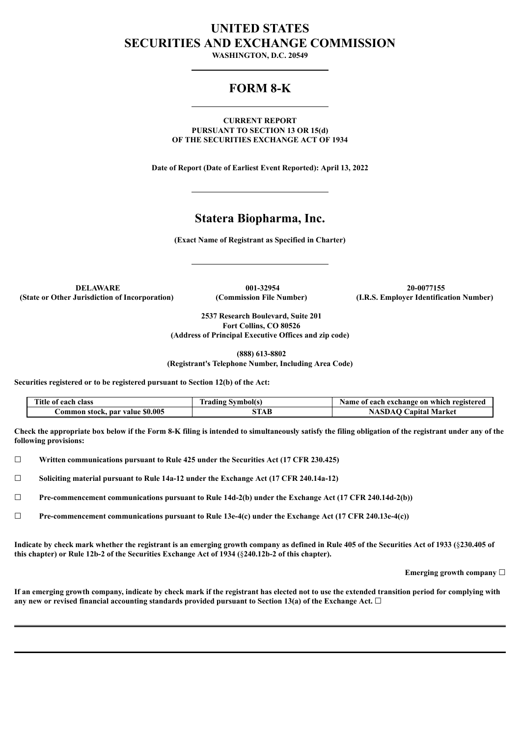# **UNITED STATES SECURITIES AND EXCHANGE COMMISSION**

**WASHINGTON, D.C. 20549**

# **FORM 8-K**

**CURRENT REPORT PURSUANT TO SECTION 13 OR 15(d) OF THE SECURITIES EXCHANGE ACT OF 1934**

**Date of Report (Date of Earliest Event Reported): April 13, 2022**

# **Statera Biopharma, Inc.**

**(Exact Name of Registrant as Specified in Charter)**

**DELAWARE 001-32954 20-0077155 (State or Other Jurisdiction of Incorporation) (Commission File Number) (I.R.S. Employer Identification Number)**

**2537 Research Boulevard, Suite 201 Fort Collins, CO 80526 (Address of Principal Executive Offices and zip code)**

**(888) 613-8802**

**(Registrant's Telephone Number, Including Area Code)**

**Securities registered or to be registered pursuant to Section 12(b) of the Act:**

| Title of each class             | <b>Trading Symbol(s)</b> | Name of each exchange on which registered |
|---------------------------------|--------------------------|-------------------------------------------|
| Common stock, par value \$0.005 | STAB                     | <b>NASDAQ Capital Market</b>              |

Check the appropriate box below if the Form 8-K filing is intended to simultaneously satisfy the filing obligation of the registrant under any of the **following provisions:**

☐ **Written communications pursuant to Rule 425 under the Securities Act (17 CFR 230.425)**

☐ **Soliciting material pursuant to Rule 14a-12 under the Exchange Act (17 CFR 240.14a-12)**

☐ **Pre-commencement communications pursuant to Rule 14d-2(b) under the Exchange Act (17 CFR 240.14d-2(b))**

☐ **Pre-commencement communications pursuant to Rule 13e-4(c) under the Exchange Act (17 CFR 240.13e-4(c))**

Indicate by check mark whether the registrant is an emerging growth company as defined in Rule 405 of the Securities Act of 1933 (\$230.405 of **this chapter) or Rule 12b-2 of the Securities Exchange Act of 1934 (**§**240.12b-2 of this chapter).**

**Emerging growth company** ☐

If an emerging growth company, indicate by check mark if the registrant has elected not to use the extended transition period for complying with **any new or revised financial accounting standards provided pursuant to Section 13(a) of the Exchange Act.** ☐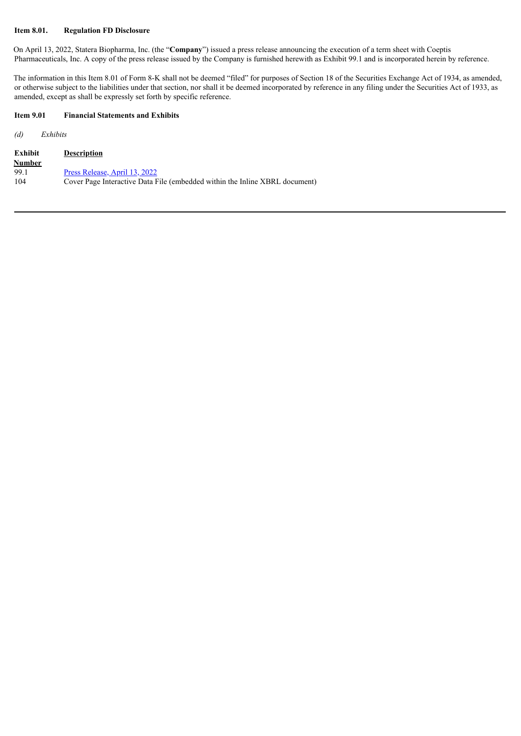### **Item 8.01. Regulation FD Disclosure**

On April 13, 2022, Statera Biopharma, Inc. (the "**Company**") issued a press release announcing the execution of a term sheet with Coeptis Pharmaceuticals, Inc. A copy of the press release issued by the Company is furnished herewith as Exhibit 99.1 and is incorporated herein by reference.

The information in this Item 8.01 of Form 8-K shall not be deemed "filed" for purposes of Section 18 of the Securities Exchange Act of 1934, as amended, or otherwise subject to the liabilities under that section, nor shall it be deemed incorporated by reference in any filing under the Securities Act of 1933, as amended, except as shall be expressly set forth by specific reference.

#### **Item 9.01 Financial Statements and Exhibits**

*(d) Exhibits*

| Exhibit | <b>Description</b>                                                          |
|---------|-----------------------------------------------------------------------------|
| Number  |                                                                             |
| 99.1    | <u>Press Release, April 13, 2022</u>                                        |
| 104     | Cover Page Interactive Data File (embedded within the Inline XBRL document) |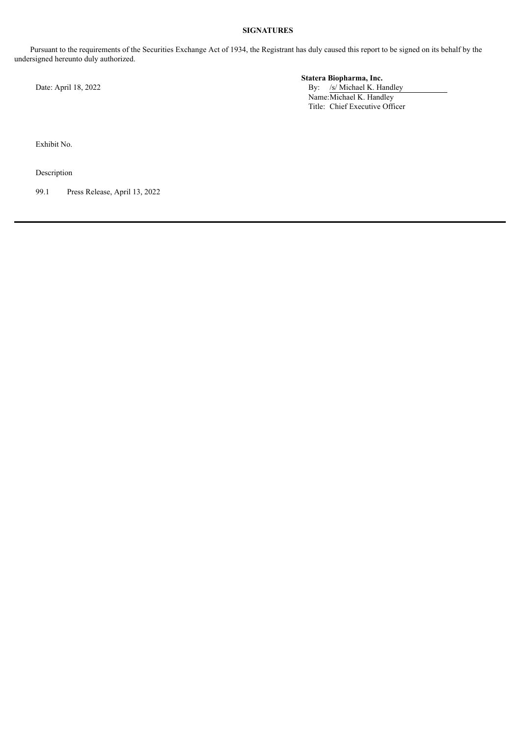### **SIGNATURES**

Pursuant to the requirements of the Securities Exchange Act of 1934, the Registrant has duly caused this report to be signed on its behalf by the undersigned hereunto duly authorized.

**Statera Biopharma, Inc.** Date: April 18, 2022 By: /s/ Michael K. Handley Name: Michael K. Handley Title: Chief Executive Officer

Exhibit No.

Description

99.1 Press Release, April 13, 2022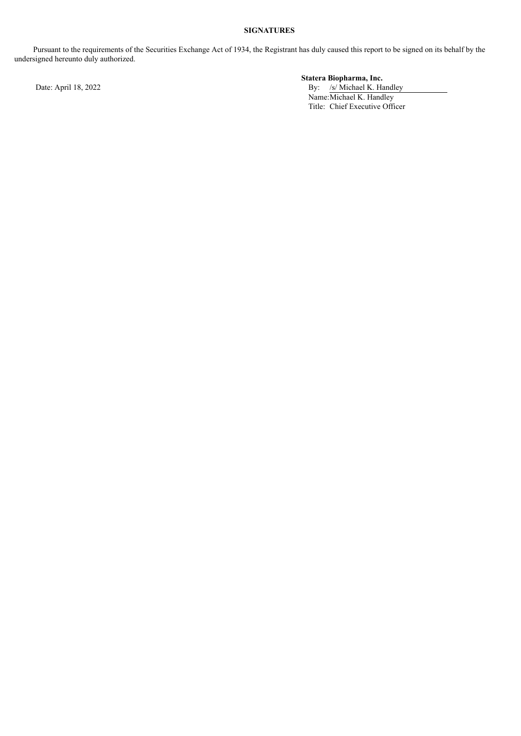# **SIGNATURES**

Pursuant to the requirements of the Securities Exchange Act of 1934, the Registrant has duly caused this report to be signed on its behalf by the undersigned hereunto duly authorized.

**Statera Biopharma, Inc.**

Date: April 18, 2022 By: /s/ Michael K. Handley Name: Michael K. Handley Title: Chief Executive Officer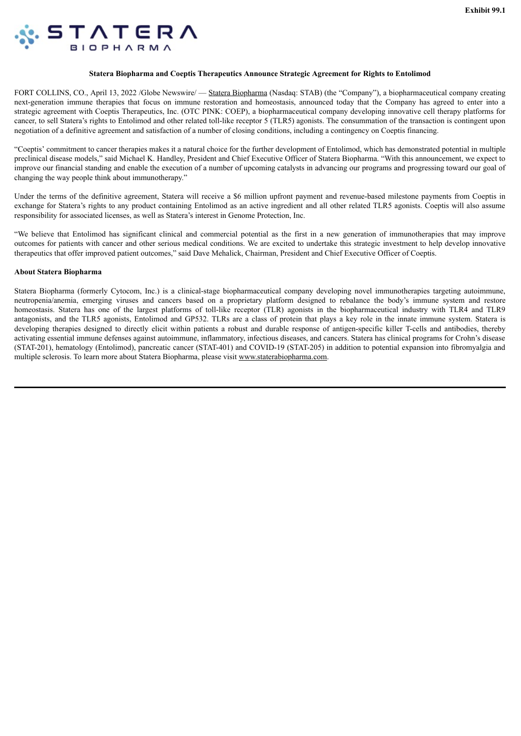<span id="page-4-0"></span>

#### **Statera Biopharma and Coeptis Therapeutics Announce Strategic Agreement for Rights to Entolimod**

FORT COLLINS, CO., April 13, 2022 /Globe Newswire/ — Statera Biopharma (Nasdaq: STAB) (the "Company"), a biopharmaceutical company creating next-generation immune therapies that focus on immune restoration and homeostasis, announced today that the Company has agreed to enter into a strategic agreement with Coeptis Therapeutics, Inc. (OTC PINK: COEP), a biopharmaceutical company developing innovative cell therapy platforms for cancer, to sell Statera's rights to Entolimod and other related toll-like receptor 5 (TLR5) agonists. The consummation of the transaction is contingent upon negotiation of a definitive agreement and satisfaction of a number of closing conditions, including a contingency on Coeptis financing.

"Coeptis' commitment to cancer therapies makes it a natural choice for the further development of Entolimod, which has demonstrated potential in multiple preclinical disease models," said Michael K. Handley, President and Chief Executive Officer of Statera Biopharma. "With this announcement, we expect to improve our financial standing and enable the execution of a number of upcoming catalysts in advancing our programs and progressing toward our goal of changing the way people think about immunotherapy."

Under the terms of the definitive agreement, Statera will receive a \$6 million upfront payment and revenue-based milestone payments from Coeptis in exchange for Statera's rights to any product containing Entolimod as an active ingredient and all other related TLR5 agonists. Coeptis will also assume responsibility for associated licenses, as well as Statera's interest in Genome Protection, Inc.

"We believe that Entolimod has significant clinical and commercial potential as the first in a new generation of immunotherapies that may improve outcomes for patients with cancer and other serious medical conditions. We are excited to undertake this strategic investment to help develop innovative therapeutics that offer improved patient outcomes," said Dave Mehalick, Chairman, President and Chief Executive Officer of Coeptis.

#### **About Statera Biopharma**

Statera Biopharma (formerly Cytocom, Inc.) is a clinical-stage biopharmaceutical company developing novel immunotherapies targeting autoimmune, neutropenia/anemia, emerging viruses and cancers based on a proprietary platform designed to rebalance the body's immune system and restore homeostasis. Statera has one of the largest platforms of toll-like receptor (TLR) agonists in the biopharmaceutical industry with TLR4 and TLR9 antagonists, and the TLR5 agonists, Entolimod and GP532. TLRs are a class of protein that plays a key role in the innate immune system. Statera is developing therapies designed to directly elicit within patients a robust and durable response of antigen-specific killer T-cells and antibodies, thereby activating essential immune defenses against autoimmune, inflammatory, infectious diseases, and cancers. Statera has clinical programs for Crohn's disease (STAT-201), hematology (Entolimod), pancreatic cancer (STAT-401) and COVID-19 (STAT-205) in addition to potential expansion into fibromyalgia and multiple sclerosis. To learn more about Statera Biopharma, please visit www.staterabiopharma.com.